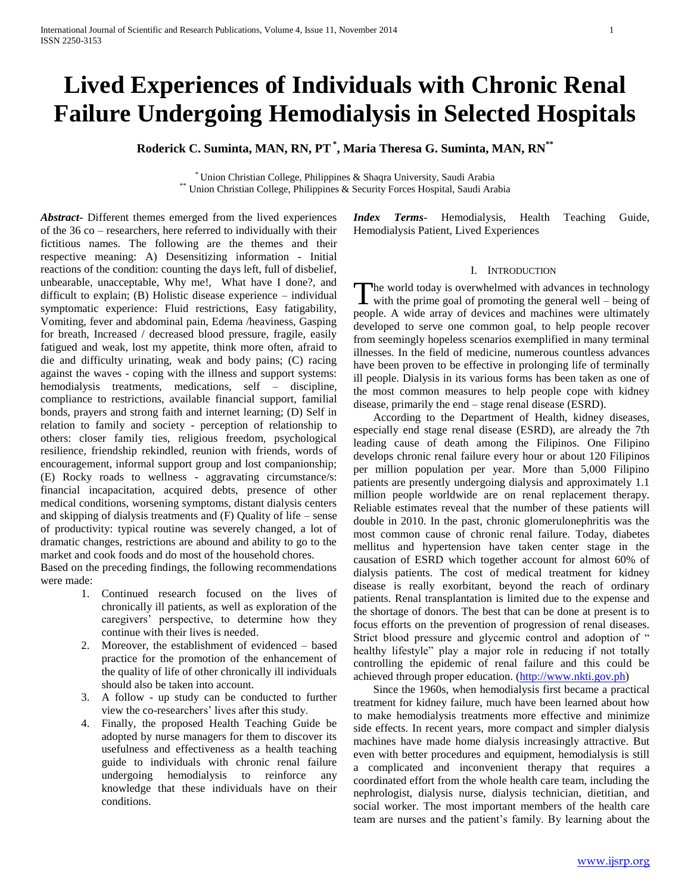# **Lived Experiences of Individuals with Chronic Renal Failure Undergoing Hemodialysis in Selected Hospitals**

**Roderick C. Suminta, MAN, RN, PT\* , Maria Theresa G. Suminta, MAN, RN\*\***

\* Union Christian College, Philippines & Shaqra University, Saudi Arabia \*\* Union Christian College, Philippines & Security Forces Hospital, Saudi Arabia

*Abstract***-** Different themes emerged from the lived experiences of the 36 co – researchers, here referred to individually with their fictitious names. The following are the themes and their respective meaning: A) Desensitizing information - Initial reactions of the condition: counting the days left, full of disbelief, unbearable, unacceptable, Why me!, What have I done?, and difficult to explain; (B) Holistic disease experience – individual symptomatic experience: Fluid restrictions, Easy fatigability, Vomiting, fever and abdominal pain, Edema /heaviness, Gasping for breath, Increased / decreased blood pressure, fragile, easily fatigued and weak, lost my appetite, think more often, afraid to die and difficulty urinating, weak and body pains; (C) racing against the waves - coping with the illness and support systems: hemodialysis treatments, medications, self – discipline, compliance to restrictions, available financial support, familial bonds, prayers and strong faith and internet learning; (D) Self in relation to family and society - perception of relationship to others: closer family ties, religious freedom, psychological resilience, friendship rekindled, reunion with friends, words of encouragement, informal support group and lost companionship; (E) Rocky roads to wellness - aggravating circumstance/s: financial incapacitation, acquired debts, presence of other medical conditions, worsening symptoms, distant dialysis centers and skipping of dialysis treatments and (F) Quality of life – sense of productivity: typical routine was severely changed, a lot of dramatic changes, restrictions are abound and ability to go to the market and cook foods and do most of the household chores.

Based on the preceding findings, the following recommendations were made:

- 1. Continued research focused on the lives of chronically ill patients, as well as exploration of the caregivers' perspective, to determine how they continue with their lives is needed.
- 2. Moreover, the establishment of evidenced based practice for the promotion of the enhancement of the quality of life of other chronically ill individuals should also be taken into account.
- 3. A follow up study can be conducted to further view the co-researchers' lives after this study.
- 4. Finally, the proposed Health Teaching Guide be adopted by nurse managers for them to discover its usefulness and effectiveness as a health teaching guide to individuals with chronic renal failure undergoing hemodialysis to reinforce any knowledge that these individuals have on their conditions.

*Index Terms*- Hemodialysis, Health Teaching Guide, Hemodialysis Patient, Lived Experiences

#### I. INTRODUCTION

The world today is overwhelmed with advances in technology The world today is overwhelmed with advances in technology<br>with the prime goal of promoting the general well – being of people. A wide array of devices and machines were ultimately developed to serve one common goal, to help people recover from seemingly hopeless scenarios exemplified in many terminal illnesses. In the field of medicine, numerous countless advances have been proven to be effective in prolonging life of terminally ill people. Dialysis in its various forms has been taken as one of the most common measures to help people cope with kidney disease, primarily the end – stage renal disease (ESRD).

 According to the Department of Health, kidney diseases, especially end stage renal disease (ESRD), are already the 7th leading cause of death among the Filipinos. One Filipino develops chronic renal failure every hour or about 120 Filipinos per million population per year. More than 5,000 Filipino patients are presently undergoing dialysis and approximately 1.1 million people worldwide are on renal replacement therapy. Reliable estimates reveal that the number of these patients will double in 2010. In the past, chronic glomerulonephritis was the most common cause of chronic renal failure. Today, diabetes mellitus and hypertension have taken center stage in the causation of ESRD which together account for almost 60% of dialysis patients. The cost of medical treatment for kidney disease is really exorbitant, beyond the reach of ordinary patients. Renal transplantation is limited due to the expense and the shortage of donors. The best that can be done at present is to focus efforts on the prevention of progression of renal diseases. Strict blood pressure and glycemic control and adoption of " healthy lifestyle" play a major role in reducing if not totally controlling the epidemic of renal failure and this could be achieved through proper education. [\(http://www.nkti.gov.ph\)](http://www.nkti.gov.ph/)

 Since the 1960s, when hemodialysis first became a practical treatment for kidney failure, much have been learned about how to make hemodialysis treatments more effective and minimize side effects. In recent years, more compact and simpler dialysis machines have made home dialysis increasingly attractive. But even with better procedures and equipment, hemodialysis is still a complicated and inconvenient therapy that requires a coordinated effort from the whole health care team, including the nephrologist, dialysis nurse, dialysis technician, dietitian, and social worker. The most important members of the health care team are nurses and the patient's family. By learning about the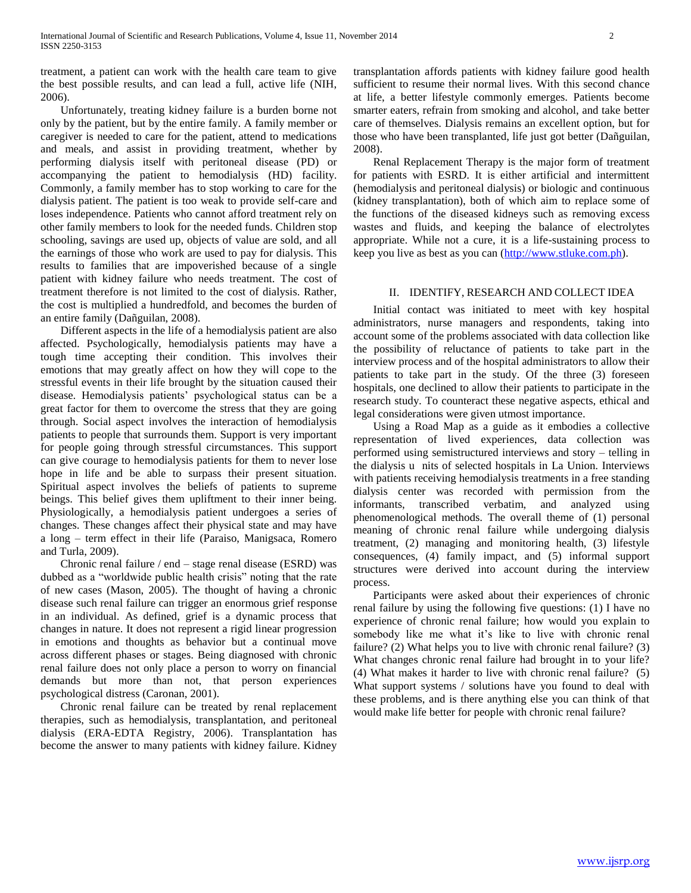treatment, a patient can work with the health care team to give the best possible results, and can lead a full, active life (NIH, 2006).

 Unfortunately, treating kidney failure is a burden borne not only by the patient, but by the entire family. A family member or caregiver is needed to care for the patient, attend to medications and meals, and assist in providing treatment, whether by performing dialysis itself with peritoneal disease (PD) or accompanying the patient to hemodialysis (HD) facility. Commonly, a family member has to stop working to care for the dialysis patient. The patient is too weak to provide self-care and loses independence. Patients who cannot afford treatment rely on other family members to look for the needed funds. Children stop schooling, savings are used up, objects of value are sold, and all the earnings of those who work are used to pay for dialysis. This results to families that are impoverished because of a single patient with kidney failure who needs treatment. The cost of treatment therefore is not limited to the cost of dialysis. Rather, the cost is multiplied a hundredfold, and becomes the burden of an entire family (Dañguilan, 2008).

 Different aspects in the life of a hemodialysis patient are also affected. Psychologically, hemodialysis patients may have a tough time accepting their condition. This involves their emotions that may greatly affect on how they will cope to the stressful events in their life brought by the situation caused their disease. Hemodialysis patients' psychological status can be a great factor for them to overcome the stress that they are going through. Social aspect involves the interaction of hemodialysis patients to people that surrounds them. Support is very important for people going through stressful circumstances. This support can give courage to hemodialysis patients for them to never lose hope in life and be able to surpass their present situation. Spiritual aspect involves the beliefs of patients to supreme beings. This belief gives them upliftment to their inner being. Physiologically, a hemodialysis patient undergoes a series of changes. These changes affect their physical state and may have a long – term effect in their life (Paraiso, Manigsaca, Romero and Turla, 2009).

 Chronic renal failure / end – stage renal disease (ESRD) was dubbed as a "worldwide public health crisis" noting that the rate of new cases (Mason, 2005). The thought of having a chronic disease such renal failure can trigger an enormous grief response in an individual. As defined, grief is a dynamic process that changes in nature. It does not represent a rigid linear progression in emotions and thoughts as behavior but a continual move across different phases or stages. Being diagnosed with chronic renal failure does not only place a person to worry on financial demands but more than not, that person experiences psychological distress (Caronan, 2001).

 Chronic renal failure can be treated by renal replacement therapies, such as hemodialysis, transplantation, and peritoneal dialysis (ERA-EDTA Registry, 2006). Transplantation has become the answer to many patients with kidney failure. Kidney transplantation affords patients with kidney failure good health sufficient to resume their normal lives. With this second chance at life, a better lifestyle commonly emerges. Patients become smarter eaters, refrain from smoking and alcohol, and take better care of themselves. Dialysis remains an excellent option, but for those who have been transplanted, life just got better (Dañguilan, 2008).

 Renal Replacement Therapy is the major form of treatment for patients with ESRD. It is either artificial and intermittent (hemodialysis and peritoneal dialysis) or biologic and continuous (kidney transplantation), both of which aim to replace some of the functions of the diseased kidneys such as removing excess wastes and fluids, and keeping the balance of electrolytes appropriate. While not a cure, it is a life-sustaining process to keep you live as best as you can [\(http://www.stluke.com.ph\)](http://www.stluke.com.ph/).

#### II. IDENTIFY, RESEARCH AND COLLECT IDEA

 Initial contact was initiated to meet with key hospital administrators, nurse managers and respondents, taking into account some of the problems associated with data collection like the possibility of reluctance of patients to take part in the interview process and of the hospital administrators to allow their patients to take part in the study. Of the three (3) foreseen hospitals, one declined to allow their patients to participate in the research study. To counteract these negative aspects, ethical and legal considerations were given utmost importance.

 Using a Road Map as a guide as it embodies a collective representation of lived experiences, data collection was performed using semistructured interviews and story – telling in the dialysis u nits of selected hospitals in La Union. Interviews with patients receiving hemodialysis treatments in a free standing dialysis center was recorded with permission from the informants, transcribed verbatim, and analyzed using phenomenological methods. The overall theme of (1) personal meaning of chronic renal failure while undergoing dialysis treatment, (2) managing and monitoring health, (3) lifestyle consequences, (4) family impact, and (5) informal support structures were derived into account during the interview process.

 Participants were asked about their experiences of chronic renal failure by using the following five questions: (1) I have no experience of chronic renal failure; how would you explain to somebody like me what it's like to live with chronic renal failure? (2) What helps you to live with chronic renal failure? (3) What changes chronic renal failure had brought in to your life? (4) What makes it harder to live with chronic renal failure? (5) What support systems / solutions have you found to deal with these problems, and is there anything else you can think of that would make life better for people with chronic renal failure?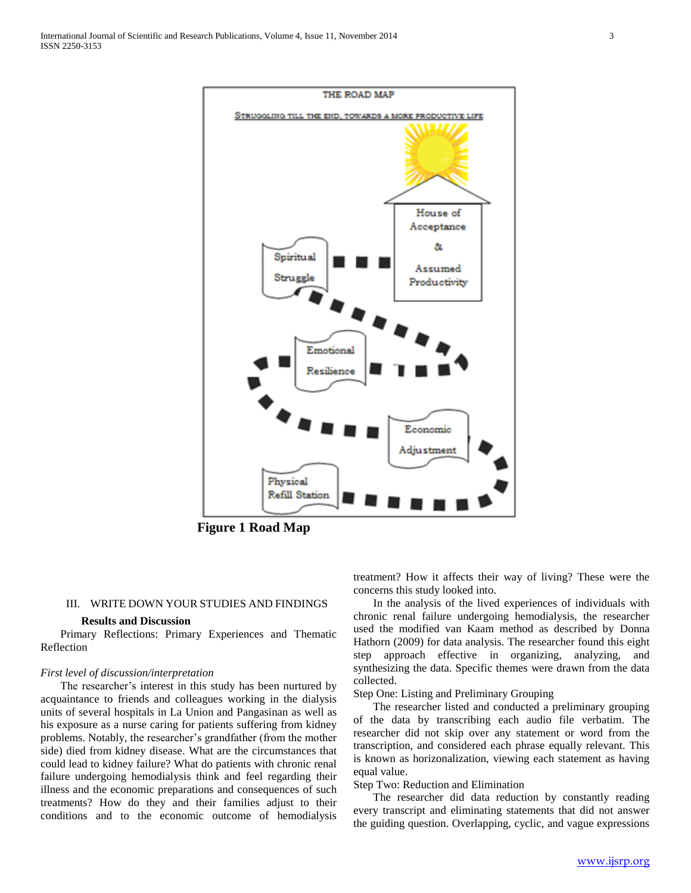

**Figure 1 Road Map**

#### III. WRITE DOWN YOUR STUDIES AND FINDINGS

## **Results and Discussion**

 Primary Reflections: Primary Experiences and Thematic Reflection

#### *First level of discussion/interpretation*

 The researcher's interest in this study has been nurtured by acquaintance to friends and colleagues working in the dialysis units of several hospitals in La Union and Pangasinan as well as his exposure as a nurse caring for patients suffering from kidney problems. Notably, the researcher's grandfather (from the mother side) died from kidney disease. What are the circumstances that could lead to kidney failure? What do patients with chronic renal failure undergoing hemodialysis think and feel regarding their illness and the economic preparations and consequences of such treatments? How do they and their families adjust to their conditions and to the economic outcome of hemodialysis

treatment? How it affects their way of living? These were the concerns this study looked into.

 In the analysis of the lived experiences of individuals with chronic renal failure undergoing hemodialysis, the researcher used the modified van Kaam method as described by Donna Hathorn (2009) for data analysis. The researcher found this eight step approach effective in organizing, analyzing, and synthesizing the data. Specific themes were drawn from the data collected.

Step One: Listing and Preliminary Grouping

 The researcher listed and conducted a preliminary grouping of the data by transcribing each audio file verbatim. The researcher did not skip over any statement or word from the transcription, and considered each phrase equally relevant. This is known as horizonalization, viewing each statement as having equal value.

Step Two: Reduction and Elimination

 The researcher did data reduction by constantly reading every transcript and eliminating statements that did not answer the guiding question. Overlapping, cyclic, and vague expressions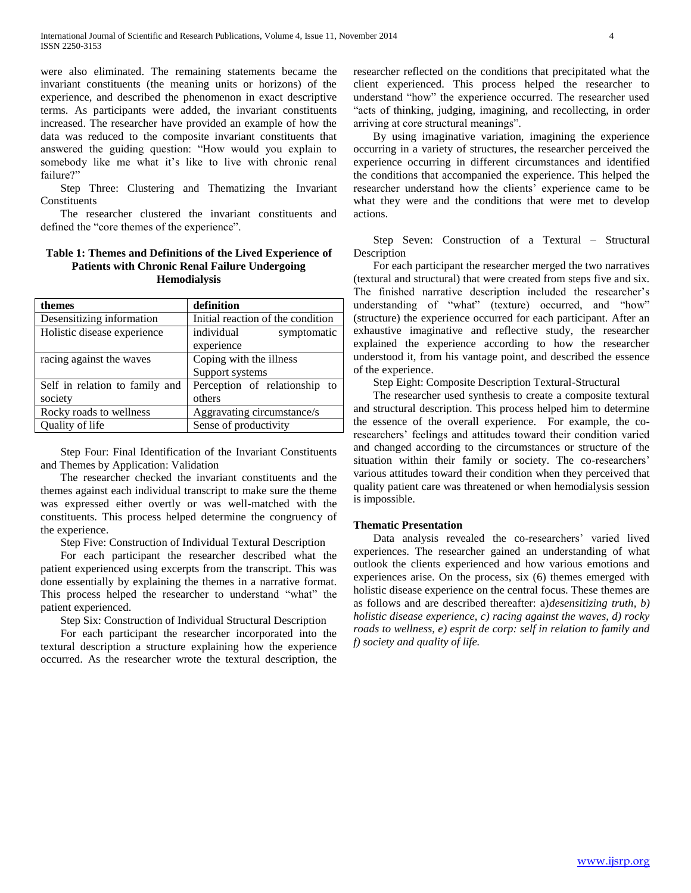were also eliminated. The remaining statements became the invariant constituents (the meaning units or horizons) of the experience, and described the phenomenon in exact descriptive terms. As participants were added, the invariant constituents increased. The researcher have provided an example of how the data was reduced to the composite invariant constituents that answered the guiding question: "How would you explain to somebody like me what it's like to live with chronic renal failure?"

 Step Three: Clustering and Thematizing the Invariant Constituents

 The researcher clustered the invariant constituents and defined the "core themes of the experience".

## **Table 1: Themes and Definitions of the Lived Experience of Patients with Chronic Renal Failure Undergoing Hemodialysis**

| themes                         | definition                        |
|--------------------------------|-----------------------------------|
| Desensitizing information      | Initial reaction of the condition |
| Holistic disease experience    | individual<br>symptomatic         |
|                                | experience                        |
| racing against the waves       | Coping with the illness           |
|                                | Support systems                   |
| Self in relation to family and | Perception of relationship to     |
| society                        | others                            |
| Rocky roads to wellness        | Aggravating circumstance/s        |
| Quality of life                | Sense of productivity             |

 Step Four: Final Identification of the Invariant Constituents and Themes by Application: Validation

 The researcher checked the invariant constituents and the themes against each individual transcript to make sure the theme was expressed either overtly or was well-matched with the constituents. This process helped determine the congruency of the experience.

Step Five: Construction of Individual Textural Description

 For each participant the researcher described what the patient experienced using excerpts from the transcript. This was done essentially by explaining the themes in a narrative format. This process helped the researcher to understand "what" the patient experienced.

Step Six: Construction of Individual Structural Description

 For each participant the researcher incorporated into the textural description a structure explaining how the experience occurred. As the researcher wrote the textural description, the

researcher reflected on the conditions that precipitated what the client experienced. This process helped the researcher to understand "how" the experience occurred. The researcher used "acts of thinking, judging, imagining, and recollecting, in order arriving at core structural meanings".

 By using imaginative variation, imagining the experience occurring in a variety of structures, the researcher perceived the experience occurring in different circumstances and identified the conditions that accompanied the experience. This helped the researcher understand how the clients' experience came to be what they were and the conditions that were met to develop actions.

 Step Seven: Construction of a Textural – Structural Description

 For each participant the researcher merged the two narratives (textural and structural) that were created from steps five and six. The finished narrative description included the researcher's understanding of "what" (texture) occurred, and "how" (structure) the experience occurred for each participant. After an exhaustive imaginative and reflective study, the researcher explained the experience according to how the researcher understood it, from his vantage point, and described the essence of the experience.

Step Eight: Composite Description Textural-Structural

 The researcher used synthesis to create a composite textural and structural description. This process helped him to determine the essence of the overall experience. For example, the coresearchers' feelings and attitudes toward their condition varied and changed according to the circumstances or structure of the situation within their family or society. The co-researchers' various attitudes toward their condition when they perceived that quality patient care was threatened or when hemodialysis session is impossible.

#### **Thematic Presentation**

 Data analysis revealed the co-researchers' varied lived experiences. The researcher gained an understanding of what outlook the clients experienced and how various emotions and experiences arise. On the process, six (6) themes emerged with holistic disease experience on the central focus. These themes are as follows and are described thereafter: a)*desensitizing truth, b) holistic disease experience, c) racing against the waves, d) rocky roads to wellness, e) esprit de corp: self in relation to family and f) society and quality of life.*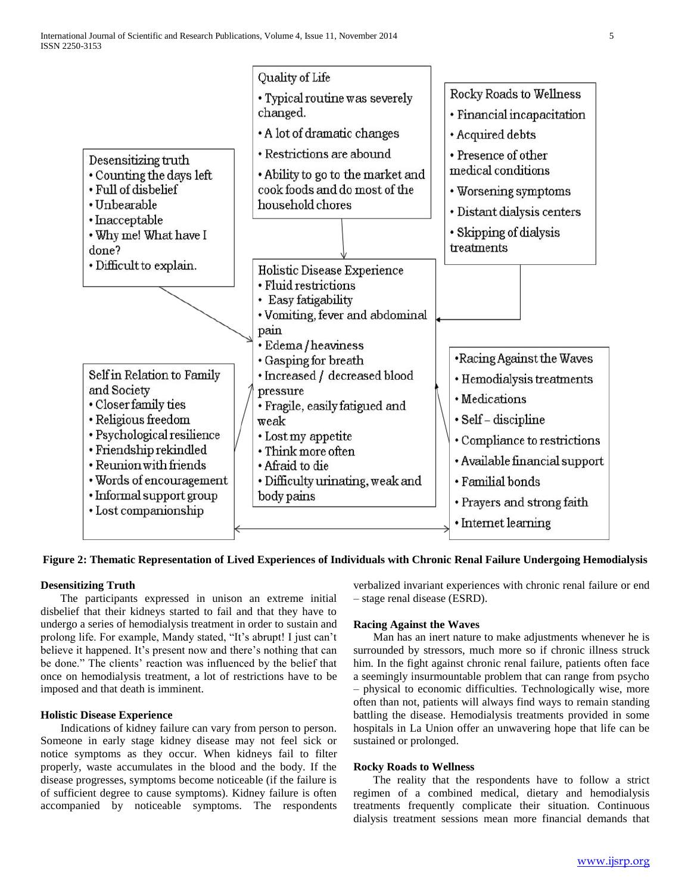

# **Figure 2: Thematic Representation of Lived Experiences of Individuals with Chronic Renal Failure Undergoing Hemodialysis**

# **Desensitizing Truth**

 The participants expressed in unison an extreme initial disbelief that their kidneys started to fail and that they have to undergo a series of hemodialysis treatment in order to sustain and prolong life. For example, Mandy stated, "It's abrupt! I just can't believe it happened. It's present now and there's nothing that can be done." The clients' reaction was influenced by the belief that once on hemodialysis treatment, a lot of restrictions have to be imposed and that death is imminent.

#### **Holistic Disease Experience**

 Indications of kidney failure can vary from person to person. Someone in early stage kidney disease may not feel sick or notice symptoms as they occur. When kidneys fail to filter properly, waste accumulates in the blood and the body. If the disease progresses, symptoms become noticeable (if the failure is of sufficient degree to cause symptoms). Kidney failure is often accompanied by noticeable symptoms. The respondents verbalized invariant experiences with chronic renal failure or end – stage renal disease (ESRD).

#### **Racing Against the Waves**

 Man has an inert nature to make adjustments whenever he is surrounded by stressors, much more so if chronic illness struck him. In the fight against chronic renal failure, patients often face a seemingly insurmountable problem that can range from psycho – physical to economic difficulties. Technologically wise, more often than not, patients will always find ways to remain standing battling the disease. Hemodialysis treatments provided in some hospitals in La Union offer an unwavering hope that life can be sustained or prolonged.

#### **Rocky Roads to Wellness**

 The reality that the respondents have to follow a strict regimen of a combined medical, dietary and hemodialysis treatments frequently complicate their situation. Continuous dialysis treatment sessions mean more financial demands that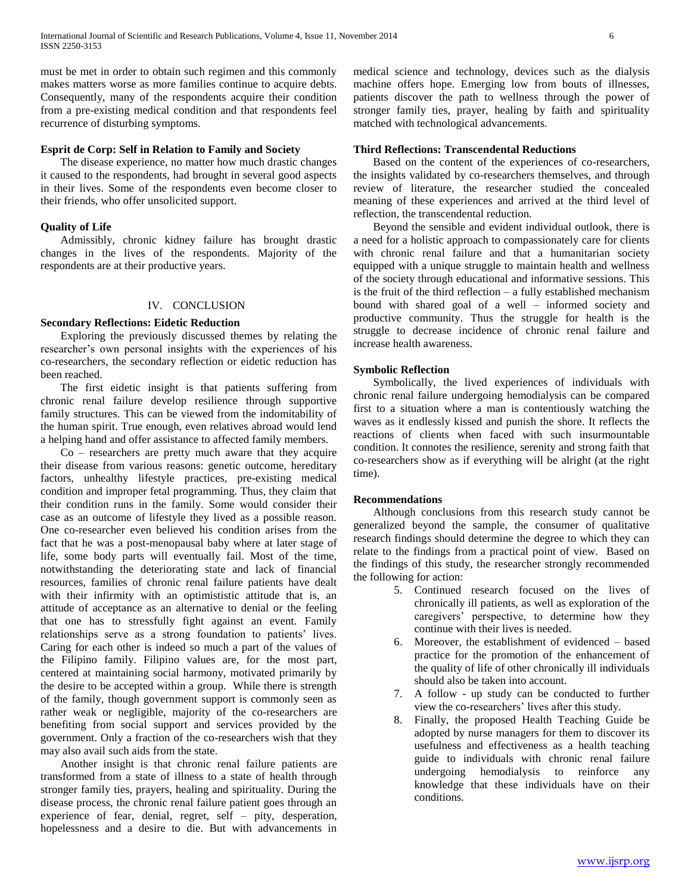must be met in order to obtain such regimen and this commonly makes matters worse as more families continue to acquire debts. Consequently, many of the respondents acquire their condition from a pre-existing medical condition and that respondents feel recurrence of disturbing symptoms.

# **Esprit de Corp: Self in Relation to Family and Society**

 The disease experience, no matter how much drastic changes it caused to the respondents, had brought in several good aspects in their lives. Some of the respondents even become closer to their friends, who offer unsolicited support.

## **Quality of Life**

 Admissibly, chronic kidney failure has brought drastic changes in the lives of the respondents. Majority of the respondents are at their productive years.

#### IV. CONCLUSION

## **Secondary Reflections: Eidetic Reduction**

 Exploring the previously discussed themes by relating the researcher's own personal insights with the experiences of his co-researchers, the secondary reflection or eidetic reduction has been reached.

 The first eidetic insight is that patients suffering from chronic renal failure develop resilience through supportive family structures. This can be viewed from the indomitability of the human spirit. True enough, even relatives abroad would lend a helping hand and offer assistance to affected family members.

 $Co$  – researchers are pretty much aware that they acquire their disease from various reasons: genetic outcome, hereditary factors, unhealthy lifestyle practices, pre-existing medical condition and improper fetal programming. Thus, they claim that their condition runs in the family. Some would consider their case as an outcome of lifestyle they lived as a possible reason. One co-researcher even believed his condition arises from the fact that he was a post-menopausal baby where at later stage of life, some body parts will eventually fail. Most of the time, notwithstanding the deteriorating state and lack of financial resources, families of chronic renal failure patients have dealt with their infirmity with an optimististic attitude that is, an attitude of acceptance as an alternative to denial or the feeling that one has to stressfully fight against an event. Family relationships serve as a strong foundation to patients' lives. Caring for each other is indeed so much a part of the values of the Filipino family. Filipino values are, for the most part, centered at maintaining social harmony, motivated primarily by the desire to be accepted within a group. While there is strength of the family, though government support is commonly seen as rather weak or negligible, majority of the co-researchers are benefiting from social support and services provided by the government. Only a fraction of the co-researchers wish that they may also avail such aids from the state.

 Another insight is that chronic renal failure patients are transformed from a state of illness to a state of health through stronger family ties, prayers, healing and spirituality. During the disease process, the chronic renal failure patient goes through an experience of fear, denial, regret, self – pity, desperation, hopelessness and a desire to die. But with advancements in

medical science and technology, devices such as the dialysis machine offers hope. Emerging low from bouts of illnesses, patients discover the path to wellness through the power of stronger family ties, prayer, healing by faith and spirituality matched with technological advancements.

## **Third Reflections: Transcendental Reductions**

 Based on the content of the experiences of co-researchers, the insights validated by co-researchers themselves, and through review of literature, the researcher studied the concealed meaning of these experiences and arrived at the third level of reflection, the transcendental reduction.

 Beyond the sensible and evident individual outlook, there is a need for a holistic approach to compassionately care for clients with chronic renal failure and that a humanitarian society equipped with a unique struggle to maintain health and wellness of the society through educational and informative sessions. This is the fruit of the third reflection – a fully established mechanism bound with shared goal of a well – informed society and productive community. Thus the struggle for health is the struggle to decrease incidence of chronic renal failure and increase health awareness.

### **Symbolic Reflection**

 Symbolically, the lived experiences of individuals with chronic renal failure undergoing hemodialysis can be compared first to a situation where a man is contentiously watching the waves as it endlessly kissed and punish the shore. It reflects the reactions of clients when faced with such insurmountable condition. It connotes the resilience, serenity and strong faith that co-researchers show as if everything will be alright (at the right time).

#### **Recommendations**

 Although conclusions from this research study cannot be generalized beyond the sample, the consumer of qualitative research findings should determine the degree to which they can relate to the findings from a practical point of view. Based on the findings of this study, the researcher strongly recommended the following for action:

- 5. Continued research focused on the lives of chronically ill patients, as well as exploration of the caregivers' perspective, to determine how they continue with their lives is needed.
- 6. Moreover, the establishment of evidenced based practice for the promotion of the enhancement of the quality of life of other chronically ill individuals should also be taken into account.
- 7. A follow up study can be conducted to further view the co-researchers' lives after this study.
- 8. Finally, the proposed Health Teaching Guide be adopted by nurse managers for them to discover its usefulness and effectiveness as a health teaching guide to individuals with chronic renal failure undergoing hemodialysis to reinforce any knowledge that these individuals have on their conditions.